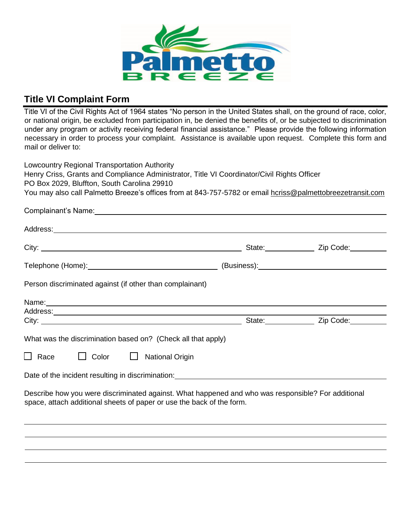

## **Title VI Complaint Form**

Title VI of the Civil Rights Act of 1964 states "No person in the United States shall, on the ground of race, color, or national origin, be excluded from participation in, be denied the benefits of, or be subjected to discrimination under any program or activity receiving federal financial assistance." Please provide the following information necessary in order to process your complaint. Assistance is available upon request. Complete this form and mail or deliver to:

Lowcountry Regional Transportation Authority Henry Criss, Grants and Compliance Administrator, Title VI Coordinator/Civil Rights Officer PO Box 2029, Bluffton, South Carolina 29910 You may also call Palmetto Breeze's offices from at 843-757-5782 or email hcriss@palmettobreezetransit.com

| Complainant's Name: 1997 - 2008 - 2010 - 2010 - 2010 - 2011 - 2021 - 2021 - 2021 - 2021 - 2021 - 2021 - 2021 -                                                              |  |
|-----------------------------------------------------------------------------------------------------------------------------------------------------------------------------|--|
|                                                                                                                                                                             |  |
|                                                                                                                                                                             |  |
|                                                                                                                                                                             |  |
| Person discriminated against (if other than complainant)                                                                                                                    |  |
| Name: 1990 - 1990 - 1990 - 1990 - 1991 - 1992 - 1993 - 1994 - 1995 - 1996 - 1997 - 1998 - 1999 - 1999 - 1999 -<br>Digwyddiadau                                              |  |
|                                                                                                                                                                             |  |
| What was the discrimination based on? (Check all that apply)                                                                                                                |  |
| $\Box$ Race $\Box$ Color $\Box$<br><b>National Origin</b>                                                                                                                   |  |
| Date of the incident resulting in discrimination: Date of the manufacturer of the incident resulting                                                                        |  |
| Describe how you were discriminated against. What happened and who was responsible? For additional<br>space, attach additional sheets of paper or use the back of the form. |  |
|                                                                                                                                                                             |  |